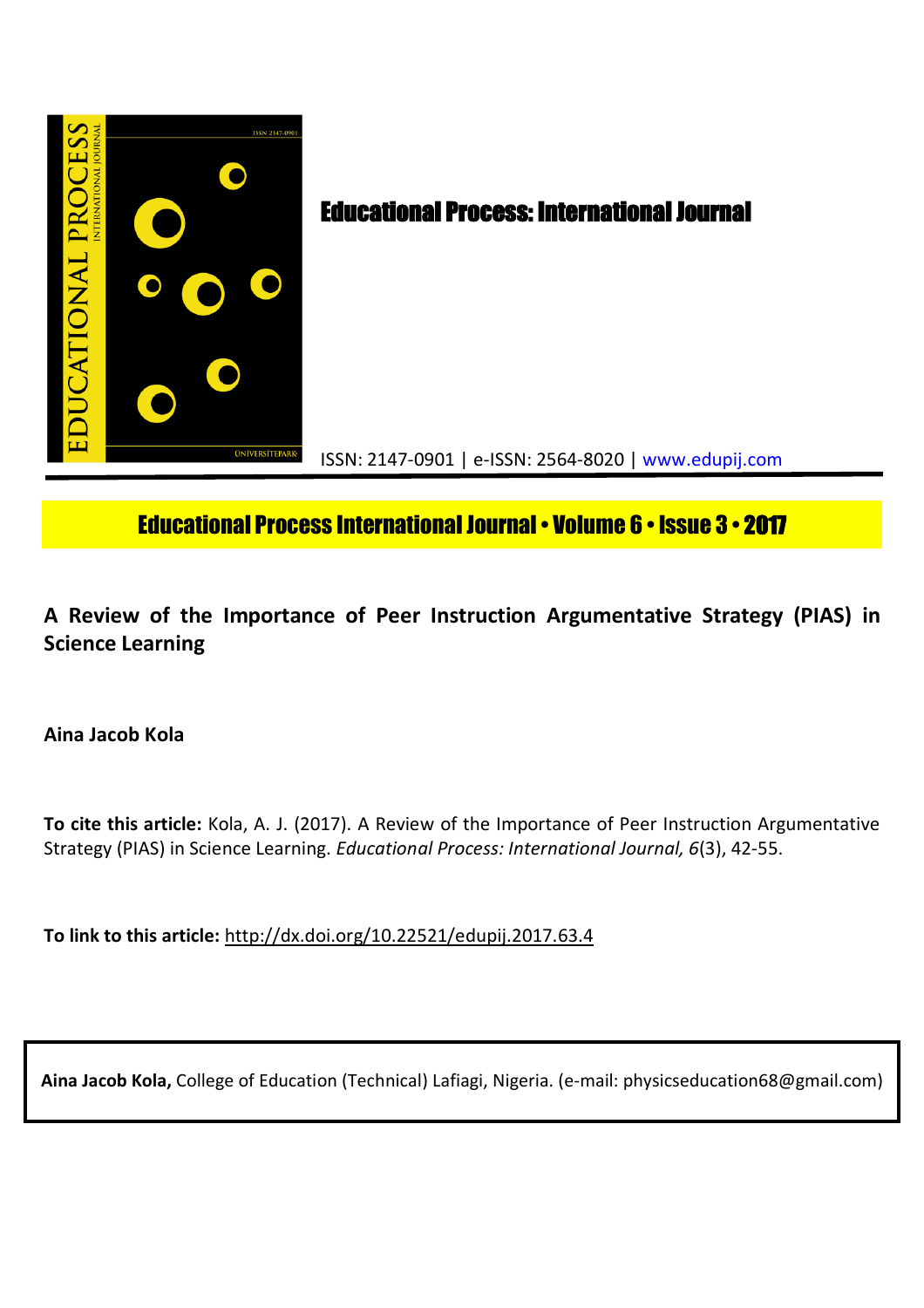

# Educational Process International Journal• Volume 6 • Issue 3 • **2017**

# **A Review of the Importance of Peer Instruction Argumentative Strategy (PIAS) in Science Learning**

**Aina Jacob Kola**

**To cite this article:** Kola, A. J. (2017). A Review of the Importance of Peer Instruction Argumentative Strategy (PIAS) in Science Learning. *Educational Process: International Journal, 6*(3), 42-55.

**To link to this article:** http://dx.doi.org/10.22521/edupij.2017.63.4

**Aina Jacob Kola,** College of Education (Technical) Lafiagi, Nigeria. (e-mail: physicseducation68@gmail.com)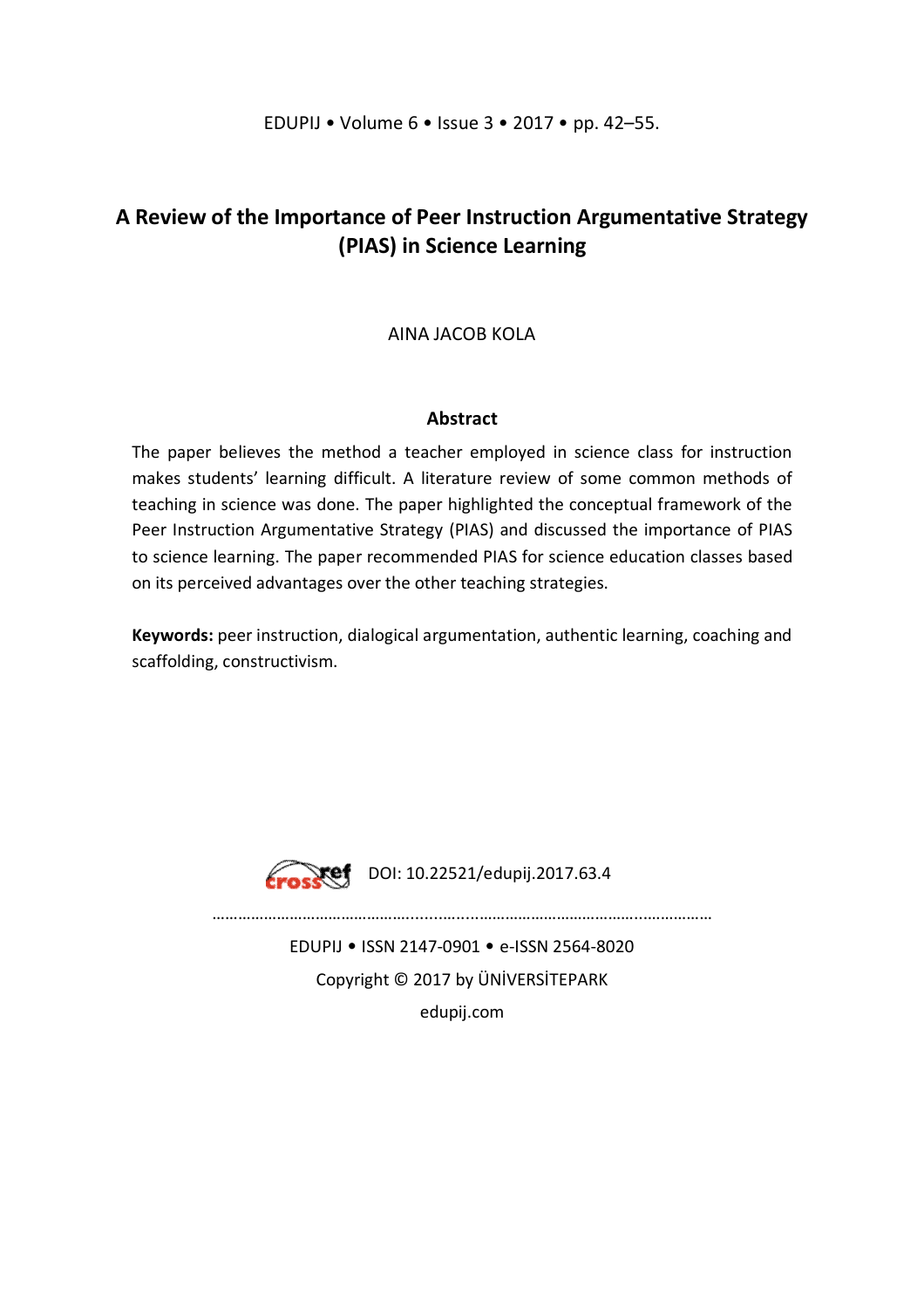# **A Review of the Importance of Peer Instruction Argumentative Strategy (PIAS) in Science Learning**

# AINA JACOB KOLA

# **Abstract**

The paper believes the method a teacher employed in science class for instruction makes students' learning difficult. A literature review of some common methods of teaching in science was done. The paper highlighted the conceptual framework of the Peer Instruction Argumentative Strategy (PIAS) and discussed the importance of PIAS to science learning. The paper recommended PIAS for science education classes based on its perceived advantages over the other teaching strategies.

**Keywords:** peer instruction, dialogical argumentation, authentic learning, coaching and scaffolding, constructivism.



 $\bigcap_{i=1}^{\infty}$  DOI: 10.22521/edupij.2017.63.4

………………………………………........….....………………………………...……………

EDUPIJ • ISSN 2147-0901 • e-ISSN 2564-8020 Copyright © 2017 by ÜNİVERSİTEPARK edupij.com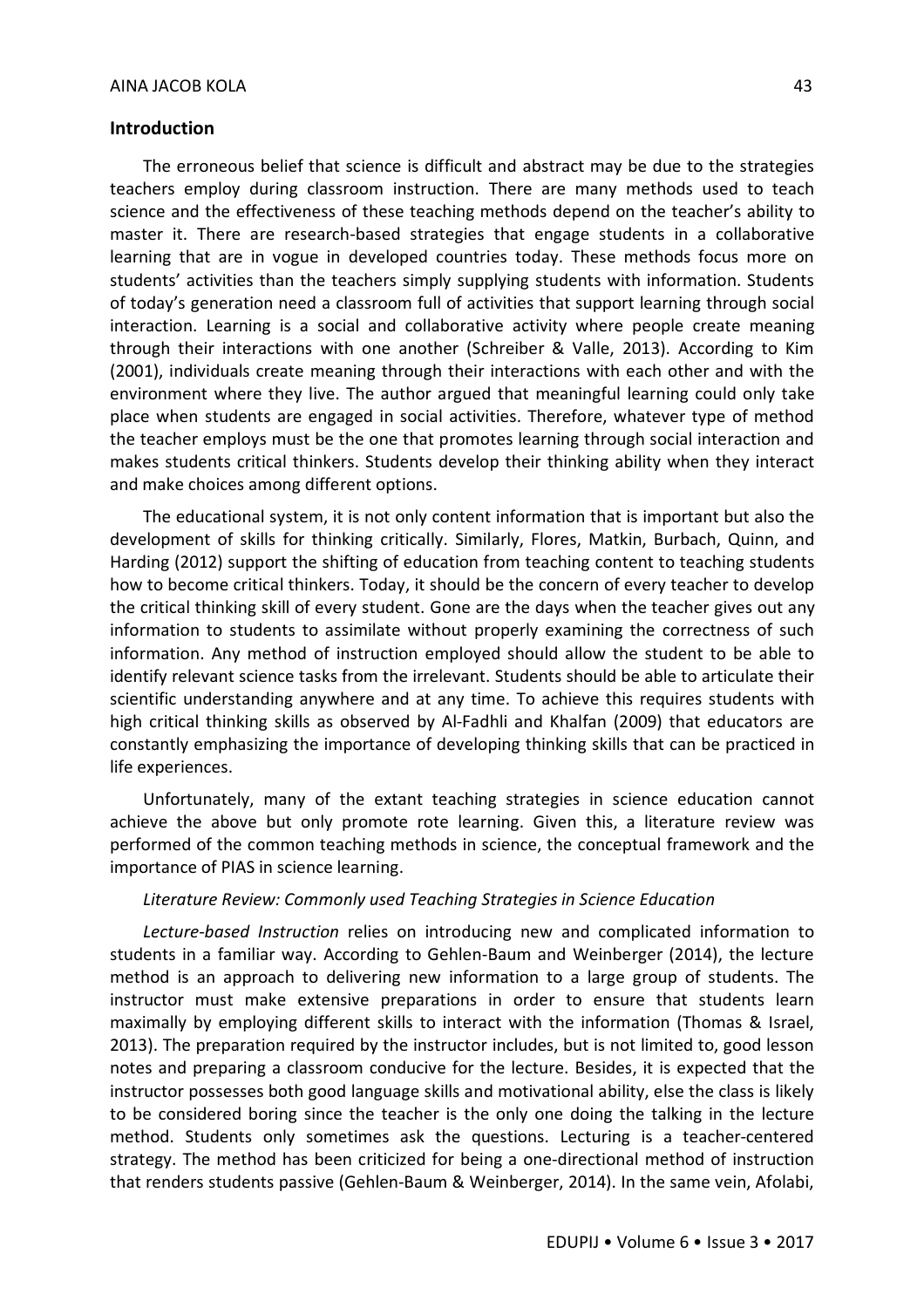## **Introduction**

The erroneous belief that science is difficult and abstract may be due to the strategies teachers employ during classroom instruction. There are many methods used to teach science and the effectiveness of these teaching methods depend on the teacher's ability to master it. There are research-based strategies that engage students in a collaborative learning that are in vogue in developed countries today. These methods focus more on students' activities than the teachers simply supplying students with information. Students of today's generation need a classroom full of activities that support learning through social interaction. Learning is a social and collaborative activity where people create meaning through their interactions with one another (Schreiber & Valle, 2013). According to Kim (2001), individuals create meaning through their interactions with each other and with the environment where they live. The author argued that meaningful learning could only take place when students are engaged in social activities. Therefore, whatever type of method the teacher employs must be the one that promotes learning through social interaction and makes students critical thinkers. Students develop their thinking ability when they interact and make choices among different options.

The educational system, it is not only content information that is important but also the development of skills for thinking critically. Similarly, Flores, Matkin, Burbach, Quinn, and Harding (2012) support the shifting of education from teaching content to teaching students how to become critical thinkers. Today, it should be the concern of every teacher to develop the critical thinking skill of every student. Gone are the days when the teacher gives out any information to students to assimilate without properly examining the correctness of such information. Any method of instruction employed should allow the student to be able to identify relevant science tasks from the irrelevant. Students should be able to articulate their scientific understanding anywhere and at any time. To achieve this requires students with high critical thinking skills as observed by Al-Fadhli and Khalfan (2009) that educators are constantly emphasizing the importance of developing thinking skills that can be practiced in life experiences.

Unfortunately, many of the extant teaching strategies in science education cannot achieve the above but only promote rote learning. Given this, a literature review was performed of the common teaching methods in science, the conceptual framework and the importance of PIAS in science learning.

### *Literature Review: Commonly used Teaching Strategies in Science Education*

*Lecture-based Instruction* relies on introducing new and complicated information to students in a familiar way. According to Gehlen-Baum and Weinberger (2014), the lecture method is an approach to delivering new information to a large group of students. The instructor must make extensive preparations in order to ensure that students learn maximally by employing different skills to interact with the information (Thomas & Israel, 2013). The preparation required by the instructor includes, but is not limited to, good lesson notes and preparing a classroom conducive for the lecture. Besides, it is expected that the instructor possesses both good language skills and motivational ability, else the class is likely to be considered boring since the teacher is the only one doing the talking in the lecture method. Students only sometimes ask the questions. Lecturing is a teacher-centered strategy. The method has been criticized for being a one-directional method of instruction that renders students passive (Gehlen-Baum & Weinberger, 2014). In the same vein, Afolabi,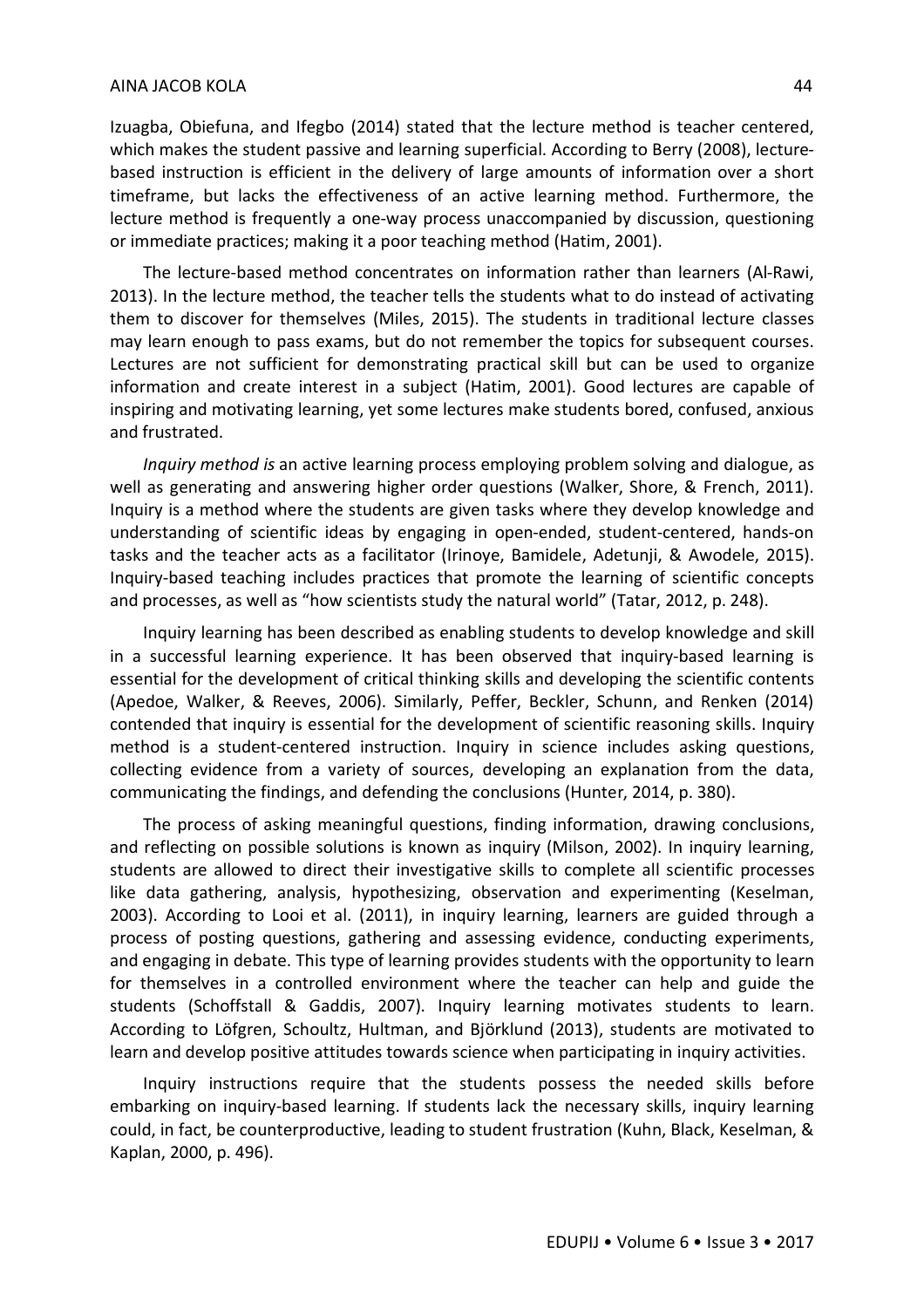Izuagba, Obiefuna, and Ifegbo (2014) stated that the lecture method is teacher centered, which makes the student passive and learning superficial. According to Berry (2008), lecturebased instruction is efficient in the delivery of large amounts of information over a short timeframe, but lacks the effectiveness of an active learning method. Furthermore, the lecture method is frequently a one-way process unaccompanied by discussion, questioning or immediate practices; making it a poor teaching method (Hatim, 2001).

The lecture-based method concentrates on information rather than learners (Al-Rawi, 2013). In the lecture method, the teacher tells the students what to do instead of activating them to discover for themselves (Miles, 2015). The students in traditional lecture classes may learn enough to pass exams, but do not remember the topics for subsequent courses. Lectures are not sufficient for demonstrating practical skill but can be used to organize information and create interest in a subject (Hatim, 2001). Good lectures are capable of inspiring and motivating learning, yet some lectures make students bored, confused, anxious and frustrated.

*Inquiry method is* an active learning process employing problem solving and dialogue, as well as generating and answering higher order questions (Walker, Shore, & French, 2011). Inquiry is a method where the students are given tasks where they develop knowledge and understanding of scientific ideas by engaging in open-ended, student-centered, hands-on tasks and the teacher acts as a facilitator (Irinoye, Bamidele, Adetunji, & Awodele, 2015). Inquiry-based teaching includes practices that promote the learning of scientific concepts and processes, as well as "how scientists study the natural world" (Tatar, 2012, p. 248).

Inquiry learning has been described as enabling students to develop knowledge and skill in a successful learning experience. It has been observed that inquiry-based learning is essential for the development of critical thinking skills and developing the scientific contents (Apedoe, Walker, & Reeves, 2006). Similarly, Peffer, Beckler, Schunn, and Renken (2014) contended that inquiry is essential for the development of scientific reasoning skills. Inquiry method is a student-centered instruction. Inquiry in science includes asking questions, collecting evidence from a variety of sources, developing an explanation from the data, communicating the findings, and defending the conclusions (Hunter, 2014, p. 380).

The process of asking meaningful questions, finding information, drawing conclusions, and reflecting on possible solutions is known as inquiry (Milson, 2002). In inquiry learning, students are allowed to direct their investigative skills to complete all scientific processes like data gathering, analysis, hypothesizing, observation and experimenting (Keselman, 2003). According to Looi et al. (2011), in inquiry learning, learners are guided through a process of posting questions, gathering and assessing evidence, conducting experiments, and engaging in debate. This type of learning provides students with the opportunity to learn for themselves in a controlled environment where the teacher can help and guide the students (Schoffstall & Gaddis, 2007). Inquiry learning motivates students to learn. According to Löfgren, Schoultz, Hultman, and Björklund (2013), students are motivated to learn and develop positive attitudes towards science when participating in inquiry activities.

Inquiry instructions require that the students possess the needed skills before embarking on inquiry-based learning. If students lack the necessary skills, inquiry learning could, in fact, be counterproductive, leading to student frustration (Kuhn, Black, Keselman, & Kaplan, 2000, p. 496).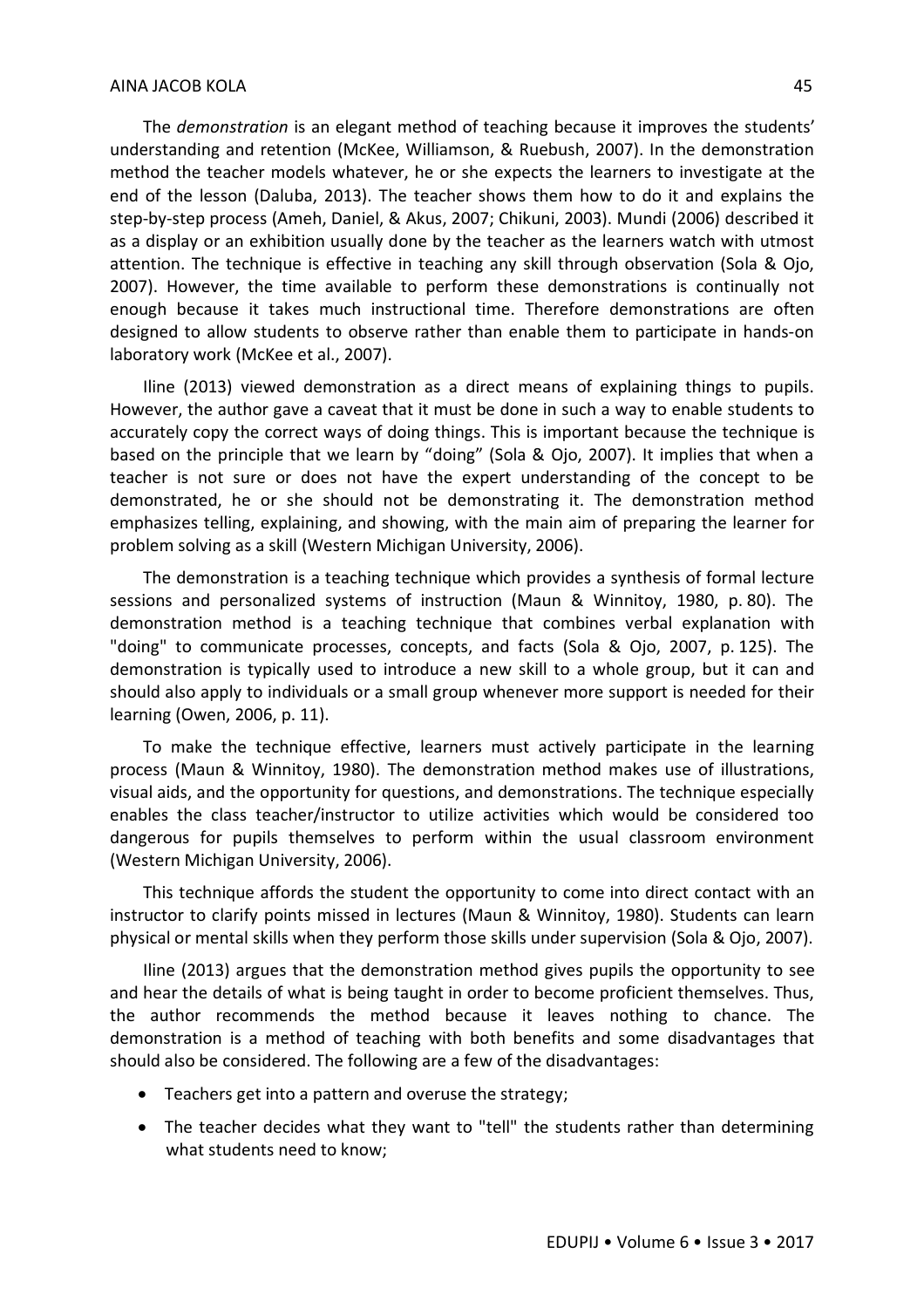#### AINA JACOB KOLA 45

The *demonstration* is an elegant method of teaching because it improves the students' understanding and retention (McKee, Williamson, & Ruebush, 2007). In the demonstration method the teacher models whatever, he or she expects the learners to investigate at the end of the lesson (Daluba, 2013). The teacher shows them how to do it and explains the step-by-step process (Ameh, Daniel, & Akus, 2007; Chikuni, 2003). Mundi (2006) described it as a display or an exhibition usually done by the teacher as the learners watch with utmost attention. The technique is effective in teaching any skill through observation (Sola & Ojo, 2007). However, the time available to perform these demonstrations is continually not enough because it takes much instructional time. Therefore demonstrations are often designed to allow students to observe rather than enable them to participate in hands-on laboratory work (McKee et al., 2007).

Iline (2013) viewed demonstration as a direct means of explaining things to pupils. However, the author gave a caveat that it must be done in such a way to enable students to accurately copy the correct ways of doing things. This is important because the technique is based on the principle that we learn by "doing" (Sola & Ojo, 2007). It implies that when a teacher is not sure or does not have the expert understanding of the concept to be demonstrated, he or she should not be demonstrating it. The demonstration method emphasizes telling, explaining, and showing, with the main aim of preparing the learner for problem solving as a skill (Western Michigan University, 2006).

The demonstration is a teaching technique which provides a synthesis of formal lecture sessions and personalized systems of instruction (Maun & Winnitoy, 1980, p. 80). The demonstration method is a teaching technique that combines verbal explanation with "doing" to communicate processes, concepts, and facts (Sola & Ojo, 2007, p. 125). The demonstration is typically used to introduce a new skill to a whole group, but it can and should also apply to individuals or a small group whenever more support is needed for their learning (Owen, 2006, p. 11).

To make the technique effective, learners must actively participate in the learning process (Maun & Winnitoy, 1980). The demonstration method makes use of illustrations, visual aids, and the opportunity for questions, and demonstrations. The technique especially enables the class teacher/instructor to utilize activities which would be considered too dangerous for pupils themselves to perform within the usual classroom environment (Western Michigan University, 2006).

This technique affords the student the opportunity to come into direct contact with an instructor to clarify points missed in lectures (Maun & Winnitoy, 1980). Students can learn physical or mental skills when they perform those skills under supervision (Sola & Ojo, 2007).

Iline (2013) argues that the demonstration method gives pupils the opportunity to see and hear the details of what is being taught in order to become proficient themselves. Thus, the author recommends the method because it leaves nothing to chance. The demonstration is a method of teaching with both benefits and some disadvantages that should also be considered. The following are a few of the disadvantages:

- Teachers get into a pattern and overuse the strategy;
- The teacher decides what they want to "tell" the students rather than determining what students need to know;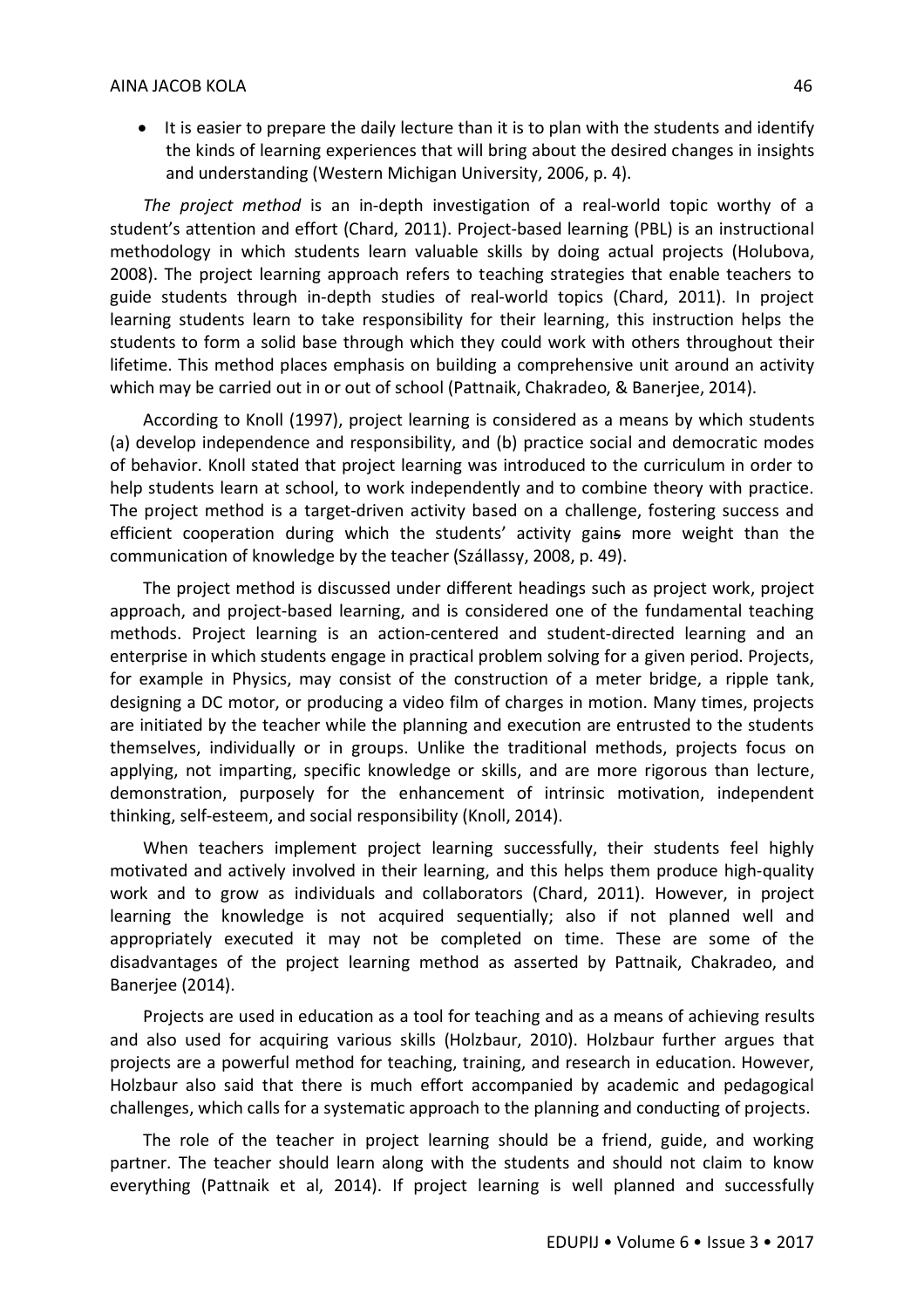• It is easier to prepare the daily lecture than it is to plan with the students and identify the kinds of learning experiences that will bring about the desired changes in insights and understanding (Western Michigan University, 2006, p. 4).

*The project method* is an in-depth investigation of a real-world topic worthy of a student's attention and effort (Chard, 2011). Project-based learning (PBL) is an instructional methodology in which students learn valuable skills by doing actual projects (Holubova, 2008). The project learning approach refers to teaching strategies that enable teachers to guide students through in-depth studies of real-world topics (Chard, 2011). In project learning students learn to take responsibility for their learning, this instruction helps the students to form a solid base through which they could work with others throughout their lifetime. This method places emphasis on building a comprehensive unit around an activity which may be carried out in or out of school (Pattnaik, Chakradeo, & Banerjee, 2014).

According to Knoll (1997), project learning is considered as a means by which students (a) develop independence and responsibility, and (b) practice social and democratic modes of behavior. Knoll stated that project learning was introduced to the curriculum in order to help students learn at school, to work independently and to combine theory with practice. The project method is a target-driven activity based on a challenge, fostering success and efficient cooperation during which the students' activity gains more weight than the communication of knowledge by the teacher (Szállassy, 2008, p. 49).

The project method is discussed under different headings such as project work, project approach, and project-based learning, and is considered one of the fundamental teaching methods. Project learning is an action-centered and student-directed learning and an enterprise in which students engage in practical problem solving for a given period. Projects, for example in Physics, may consist of the construction of a meter bridge, a ripple tank, designing a DC motor, or producing a video film of charges in motion. Many times, projects are initiated by the teacher while the planning and execution are entrusted to the students themselves, individually or in groups. Unlike the traditional methods, projects focus on applying, not imparting, specific knowledge or skills, and are more rigorous than lecture, demonstration, purposely for the enhancement of intrinsic motivation, independent thinking, self-esteem, and social responsibility (Knoll, 2014).

When teachers implement project learning successfully, their students feel highly motivated and actively involved in their learning, and this helps them produce high-quality work and to grow as individuals and collaborators (Chard, 2011). However, in project learning the knowledge is not acquired sequentially; also if not planned well and appropriately executed it may not be completed on time. These are some of the disadvantages of the project learning method as asserted by Pattnaik, Chakradeo, and Banerjee (2014).

Projects are used in education as a tool for teaching and as a means of achieving results and also used for acquiring various skills (Holzbaur, 2010). Holzbaur further argues that projects are a powerful method for teaching, training, and research in education. However, Holzbaur also said that there is much effort accompanied by academic and pedagogical challenges, which calls for a systematic approach to the planning and conducting of projects.

The role of the teacher in project learning should be a friend, guide, and working partner. The teacher should learn along with the students and should not claim to know everything (Pattnaik et al, 2014). If project learning is well planned and successfully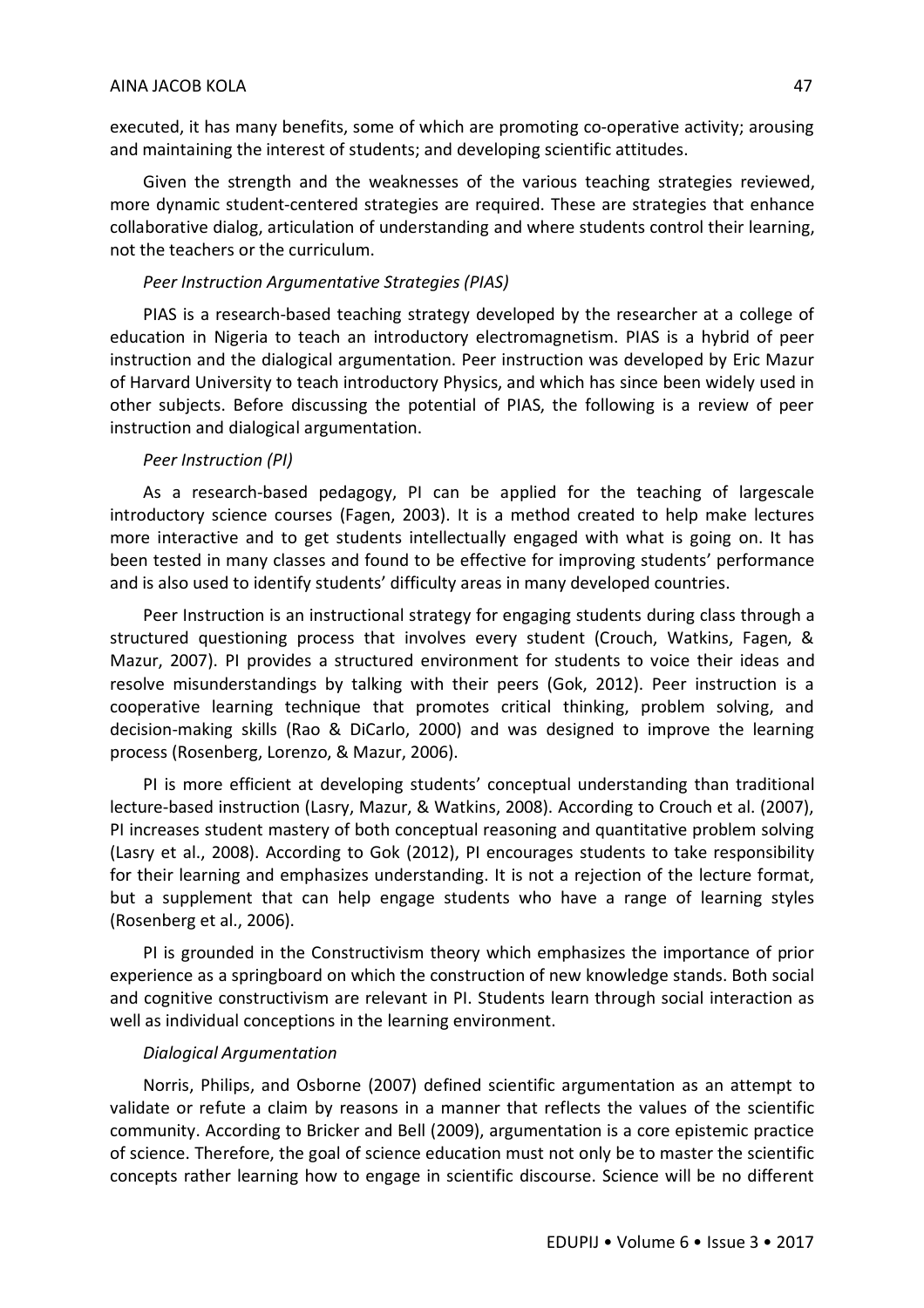executed, it has many benefits, some of which are promoting co-operative activity; arousing and maintaining the interest of students; and developing scientific attitudes.

Given the strength and the weaknesses of the various teaching strategies reviewed, more dynamic student-centered strategies are required. These are strategies that enhance collaborative dialog, articulation of understanding and where students control their learning, not the teachers or the curriculum.

### *Peer Instruction Argumentative Strategies (PIAS)*

PIAS is a research-based teaching strategy developed by the researcher at a college of education in Nigeria to teach an introductory electromagnetism. PIAS is a hybrid of peer instruction and the dialogical argumentation. Peer instruction was developed by Eric Mazur of Harvard University to teach introductory Physics, and which has since been widely used in other subjects. Before discussing the potential of PIAS, the following is a review of peer instruction and dialogical argumentation.

### *Peer Instruction (PI)*

As a research-based pedagogy, PI can be applied for the teaching of largescale introductory science courses (Fagen, 2003). It is a method created to help make lectures more interactive and to get students intellectually engaged with what is going on. It has been tested in many classes and found to be effective for improving students' performance and is also used to identify students' difficulty areas in many developed countries.

Peer Instruction is an instructional strategy for engaging students during class through a structured questioning process that involves every student (Crouch, Watkins, Fagen, & Mazur, 2007). PI provides a structured environment for students to voice their ideas and resolve misunderstandings by talking with their peers (Gok, 2012). Peer instruction is a cooperative learning technique that promotes critical thinking, problem solving, and decision-making skills (Rao & DiCarlo, 2000) and was designed to improve the learning process (Rosenberg, Lorenzo, & Mazur, 2006).

PI is more efficient at developing students' conceptual understanding than traditional lecture-based instruction (Lasry, Mazur, & Watkins, 2008). According to Crouch et al. (2007), PI increases student mastery of both conceptual reasoning and quantitative problem solving (Lasry et al., 2008). According to Gok (2012), PI encourages students to take responsibility for their learning and emphasizes understanding. It is not a rejection of the lecture format, but a supplement that can help engage students who have a range of learning styles (Rosenberg et al., 2006).

PI is grounded in the Constructivism theory which emphasizes the importance of prior experience as a springboard on which the construction of new knowledge stands. Both social and cognitive constructivism are relevant in PI. Students learn through social interaction as well as individual conceptions in the learning environment.

#### *Dialogical Argumentation*

Norris, Philips, and Osborne (2007) defined scientific argumentation as an attempt to validate or refute a claim by reasons in a manner that reflects the values of the scientific community. According to Bricker and Bell (2009), argumentation is a core epistemic practice of science. Therefore, the goal of science education must not only be to master the scientific concepts rather learning how to engage in scientific discourse. Science will be no different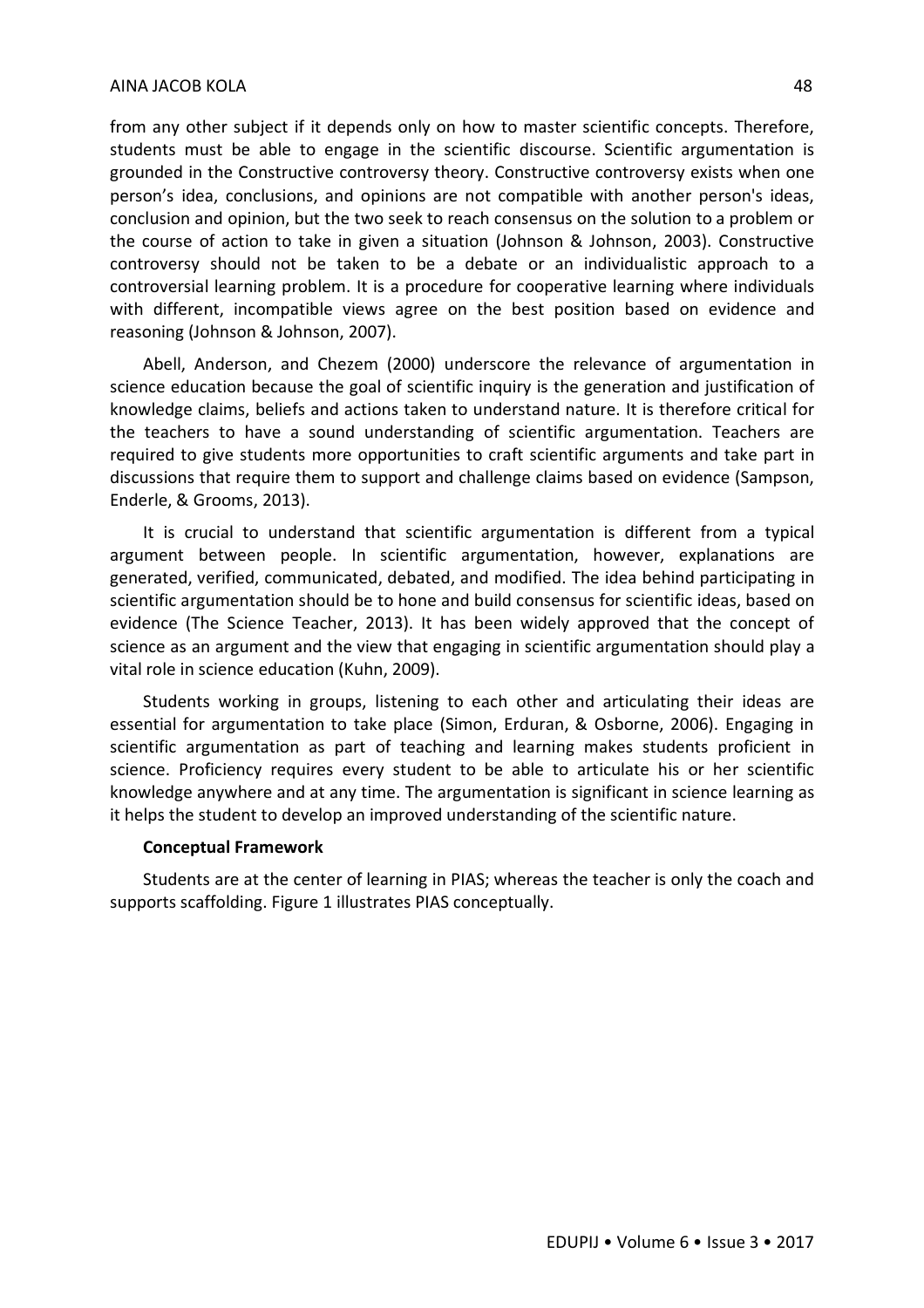#### AINA JACOB KOLA 48

from any other subject if it depends only on how to master scientific concepts. Therefore, students must be able to engage in the scientific discourse. Scientific argumentation is grounded in the Constructive controversy theory. Constructive controversy exists when one person's idea, conclusions, and opinions are not compatible with another person's ideas, conclusion and opinion, but the two seek to reach consensus on the solution to a problem or the course of action to take in given a situation (Johnson & Johnson, 2003). Constructive controversy should not be taken to be a debate or an individualistic approach to a controversial learning problem. It is a procedure for cooperative learning where individuals with different, incompatible views agree on the best position based on evidence and reasoning (Johnson & Johnson, 2007).

Abell, Anderson, and Chezem (2000) underscore the relevance of argumentation in science education because the goal of scientific inquiry is the generation and justification of knowledge claims, beliefs and actions taken to understand nature. It is therefore critical for the teachers to have a sound understanding of scientific argumentation. Teachers are required to give students more opportunities to craft scientific arguments and take part in discussions that require them to support and challenge claims based on evidence (Sampson, Enderle, & Grooms, 2013).

It is crucial to understand that scientific argumentation is different from a typical argument between people. In scientific argumentation, however, explanations are generated, verified, communicated, debated, and modified. The idea behind participating in scientific argumentation should be to hone and build consensus for scientific ideas, based on evidence (The Science Teacher, 2013). It has been widely approved that the concept of science as an argument and the view that engaging in scientific argumentation should play a vital role in science education (Kuhn, 2009).

Students working in groups, listening to each other and articulating their ideas are essential for argumentation to take place (Simon, Erduran, & Osborne, 2006). Engaging in scientific argumentation as part of teaching and learning makes students proficient in science. Proficiency requires every student to be able to articulate his or her scientific knowledge anywhere and at any time. The argumentation is significant in science learning as it helps the student to develop an improved understanding of the scientific nature.

## **Conceptual Framework**

Students are at the center of learning in PIAS; whereas the teacher is only the coach and supports scaffolding. Figure 1 illustrates PIAS conceptually.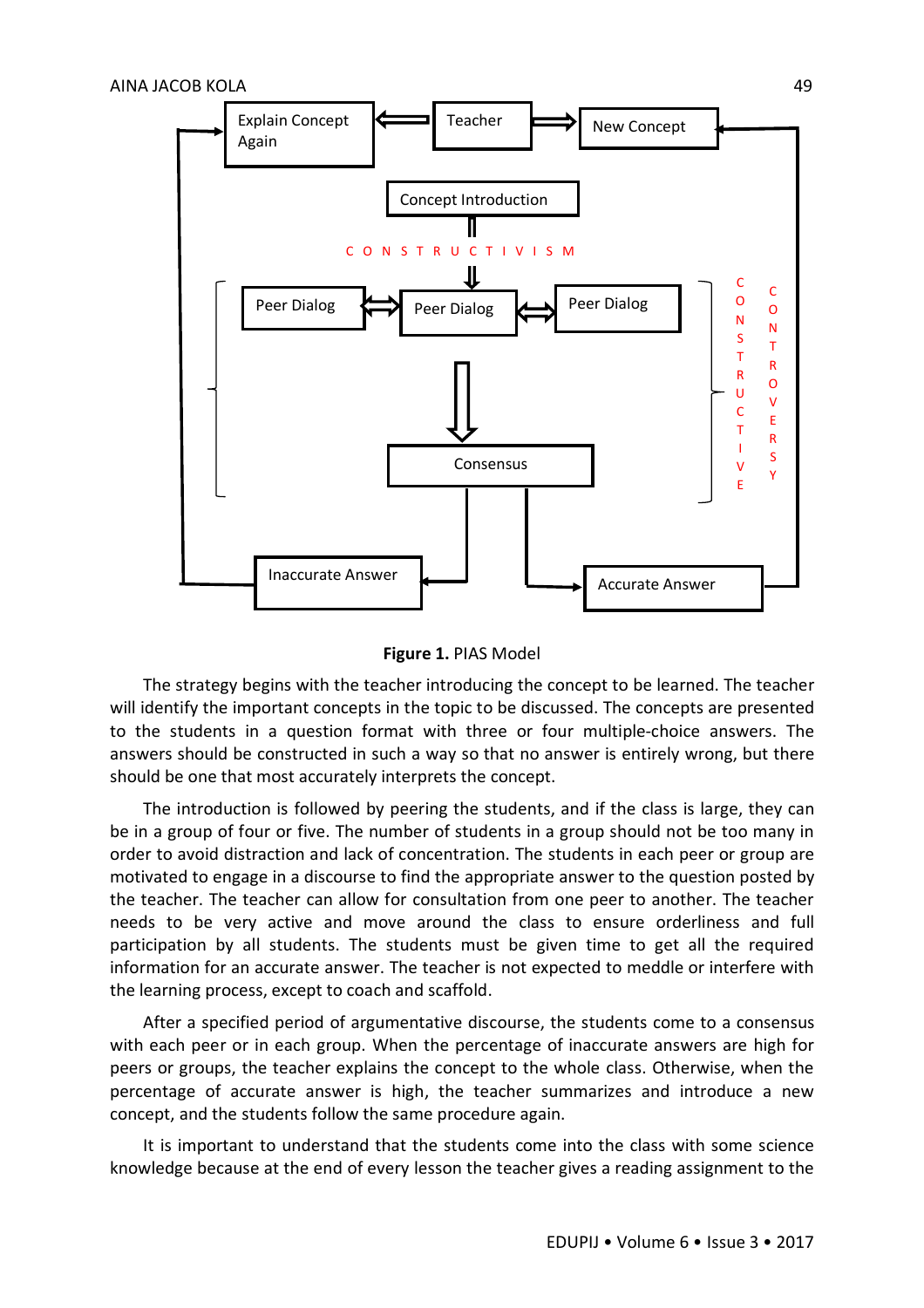

#### **Figure 1.** PIAS Model

The strategy begins with the teacher introducing the concept to be learned. The teacher will identify the important concepts in the topic to be discussed. The concepts are presented to the students in a question format with three or four multiple-choice answers. The answers should be constructed in such a way so that no answer is entirely wrong, but there should be one that most accurately interprets the concept.

The introduction is followed by peering the students, and if the class is large, they can be in a group of four or five. The number of students in a group should not be too many in order to avoid distraction and lack of concentration. The students in each peer or group are motivated to engage in a discourse to find the appropriate answer to the question posted by the teacher. The teacher can allow for consultation from one peer to another. The teacher needs to be very active and move around the class to ensure orderliness and full participation by all students. The students must be given time to get all the required information for an accurate answer. The teacher is not expected to meddle or interfere with the learning process, except to coach and scaffold.

After a specified period of argumentative discourse, the students come to a consensus with each peer or in each group. When the percentage of inaccurate answers are high for peers or groups, the teacher explains the concept to the whole class. Otherwise, when the percentage of accurate answer is high, the teacher summarizes and introduce a new concept, and the students follow the same procedure again.

It is important to understand that the students come into the class with some science knowledge because at the end of every lesson the teacher gives a reading assignment to the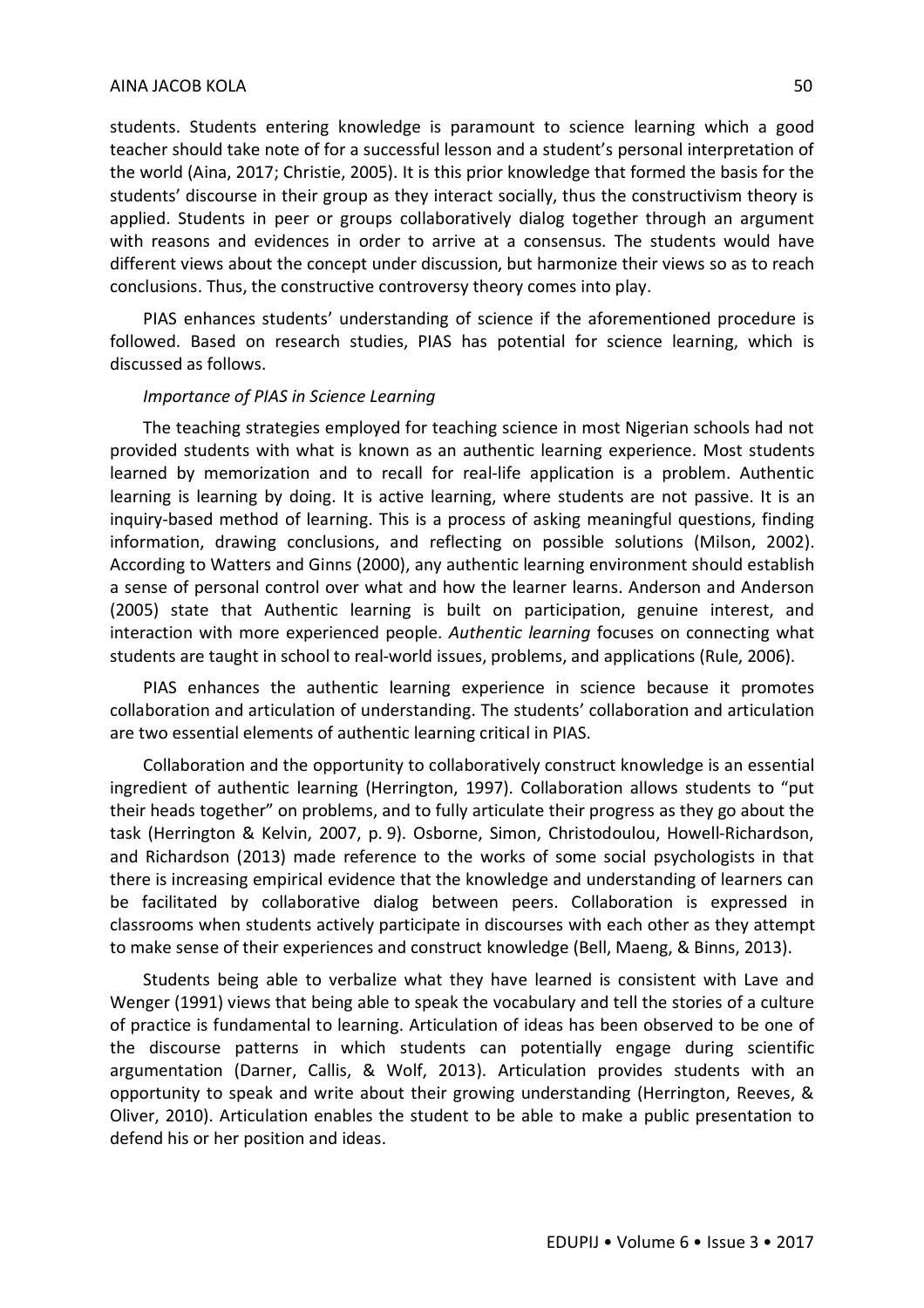students. Students entering knowledge is paramount to science learning which a good teacher should take note of for a successful lesson and a student's personal interpretation of the world (Aina, 2017; Christie, 2005). It is this prior knowledge that formed the basis for the students' discourse in their group as they interact socially, thus the constructivism theory is applied. Students in peer or groups collaboratively dialog together through an argument with reasons and evidences in order to arrive at a consensus. The students would have different views about the concept under discussion, but harmonize their views so as to reach conclusions. Thus, the constructive controversy theory comes into play.

PIAS enhances students' understanding of science if the aforementioned procedure is followed. Based on research studies, PIAS has potential for science learning, which is discussed as follows.

#### *Importance of PIAS in Science Learning*

The teaching strategies employed for teaching science in most Nigerian schools had not provided students with what is known as an authentic learning experience. Most students learned by memorization and to recall for real-life application is a problem. Authentic learning is learning by doing. It is active learning, where students are not passive. It is an inquiry-based method of learning. This is a process of asking meaningful questions, finding information, drawing conclusions, and reflecting on possible solutions (Milson, 2002). According to Watters and Ginns (2000), any authentic learning environment should establish a sense of personal control over what and how the learner learns. Anderson and Anderson (2005) state that Authentic learning is built on participation, genuine interest, and interaction with more experienced people. *Authentic learning* focuses on connecting what students are taught in school to real-world issues, problems, and applications (Rule, 2006).

PIAS enhances the authentic learning experience in science because it promotes collaboration and articulation of understanding. The students' collaboration and articulation are two essential elements of authentic learning critical in PIAS.

Collaboration and the opportunity to collaboratively construct knowledge is an essential ingredient of authentic learning (Herrington, 1997). Collaboration allows students to "put their heads together" on problems, and to fully articulate their progress as they go about the task (Herrington & Kelvin, 2007, p. 9). Osborne, Simon, Christodoulou, Howell-Richardson, and Richardson (2013) made reference to the works of some social psychologists in that there is increasing empirical evidence that the knowledge and understanding of learners can be facilitated by collaborative dialog between peers. Collaboration is expressed in classrooms when students actively participate in discourses with each other as they attempt to make sense of their experiences and construct knowledge (Bell, Maeng, & Binns, 2013).

Students being able to verbalize what they have learned is consistent with Lave and Wenger (1991) views that being able to speak the vocabulary and tell the stories of a culture of practice is fundamental to learning. Articulation of ideas has been observed to be one of the discourse patterns in which students can potentially engage during scientific argumentation (Darner, Callis, & Wolf, 2013). Articulation provides students with an opportunity to speak and write about their growing understanding (Herrington, Reeves, & Oliver, 2010). Articulation enables the student to be able to make a public presentation to defend his or her position and ideas.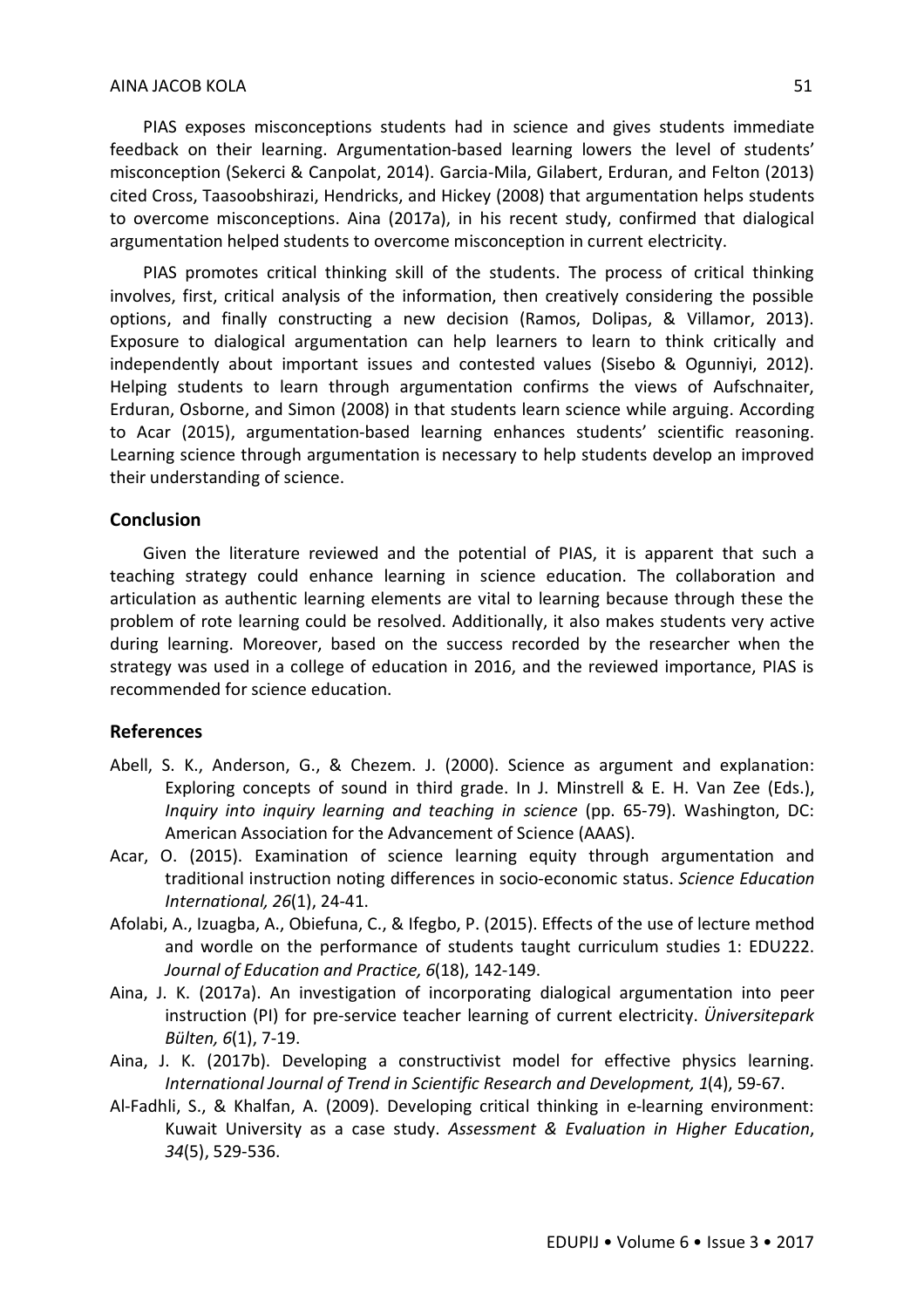PIAS exposes misconceptions students had in science and gives students immediate feedback on their learning. Argumentation-based learning lowers the level of students' misconception (Sekerci & Canpolat, 2014). Garcia-Mila, Gilabert, Erduran, and Felton (2013) cited Cross, Taasoobshirazi, Hendricks, and Hickey (2008) that argumentation helps students to overcome misconceptions. Aina (2017a), in his recent study, confirmed that dialogical argumentation helped students to overcome misconception in current electricity.

PIAS promotes critical thinking skill of the students. The process of critical thinking involves, first, critical analysis of the information, then creatively considering the possible options, and finally constructing a new decision (Ramos, Dolipas, & Villamor, 2013). Exposure to dialogical argumentation can help learners to learn to think critically and independently about important issues and contested values (Sisebo & Ogunniyi, 2012). Helping students to learn through argumentation confirms the views of Aufschnaiter, Erduran, Osborne, and Simon (2008) in that students learn science while arguing. According to Acar (2015), argumentation-based learning enhances students' scientific reasoning. Learning science through argumentation is necessary to help students develop an improved their understanding of science.

## **Conclusion**

Given the literature reviewed and the potential of PIAS, it is apparent that such a teaching strategy could enhance learning in science education. The collaboration and articulation as authentic learning elements are vital to learning because through these the problem of rote learning could be resolved. Additionally, it also makes students very active during learning. Moreover, based on the success recorded by the researcher when the strategy was used in a college of education in 2016, and the reviewed importance, PIAS is recommended for science education.

#### **References**

- Abell, S. K., Anderson, G., & Chezem. J. (2000). Science as argument and explanation: Exploring concepts of sound in third grade. In J. Minstrell & E. H. Van Zee (Eds.), *Inquiry into inquiry learning and teaching in science* (pp. 65-79). Washington, DC: American Association for the Advancement of Science (AAAS).
- Acar, O. (2015). Examination of science learning equity through argumentation and traditional instruction noting differences in socio-economic status. *Science Education International, 26*(1), 24-41.
- Afolabi, A., Izuagba, A., Obiefuna, C., & Ifegbo, P. (2015). Effects of the use of lecture method and wordle on the performance of students taught curriculum studies 1: EDU222. *Journal of Education and Practice, 6*(18), 142-149.
- Aina, J. K. (2017a). An investigation of incorporating dialogical argumentation into peer instruction (PI) for pre-service teacher learning of current electricity. *Üniversitepark Bülten, 6*(1), 7-19.
- Aina, J. K. (2017b). Developing a constructivist model for effective physics learning. *International Journal of Trend in Scientific Research and Development, 1*(4), 59-67.
- Al-Fadhli, S., & Khalfan, A. (2009). Developing critical thinking in e-learning environment: Kuwait University as a case study. *Assessment & Evaluation in Higher Education*, *34*(5), 529-536.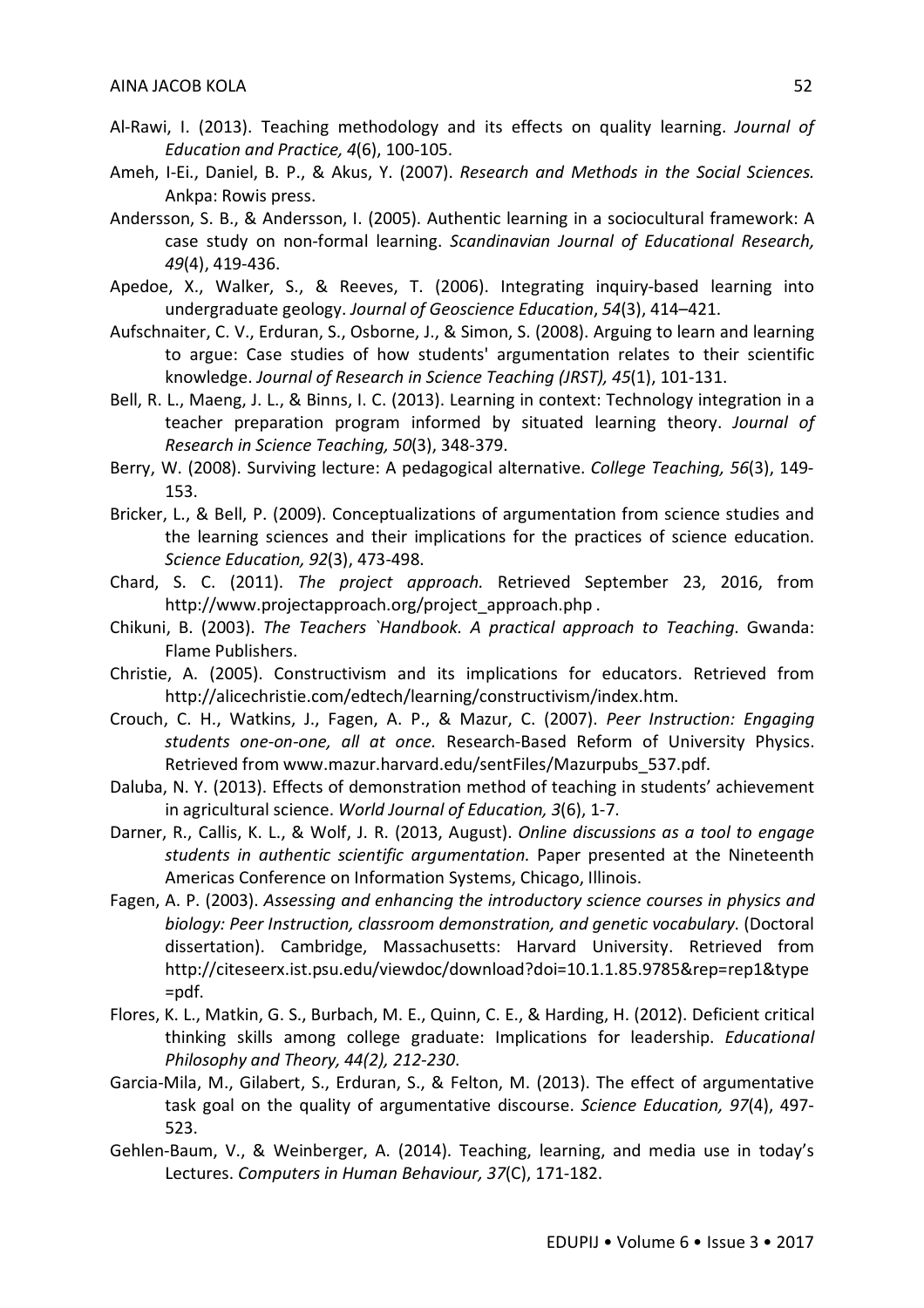- Al-Rawi, I. (2013). Teaching methodology and its effects on quality learning. *Journal of Education and Practice, 4*(6), 100-105.
- Ameh, I-Ei., Daniel, B. P., & Akus, Y. (2007). *Research and Methods in the Social Sciences.*  Ankpa: Rowis press.
- Andersson, S. B., & Andersson, I. (2005). Authentic learning in a sociocultural framework: A case study on non-formal learning. *Scandinavian Journal of Educational Research, 49*(4), 419-436.
- Apedoe, X., Walker, S., & Reeves, T. (2006). Integrating inquiry-based learning into undergraduate geology. *Journal of Geoscience Education*, *54*(3), 414–421.
- Aufschnaiter, C. V., Erduran, S., Osborne, J., & Simon, S. (2008). Arguing to learn and learning to argue: Case studies of how students' argumentation relates to their scientific knowledge. *Journal of Research in Science Teaching (JRST), 45*(1), 101-131.
- Bell, R. L., Maeng, J. L., & Binns, I. C. (2013). Learning in context: Technology integration in a teacher preparation program informed by situated learning theory. *Journal of Research in Science Teaching, 50*(3), 348-379.
- Berry, W. (2008). Surviving lecture: A pedagogical alternative. *College Teaching, 56*(3), 149- 153.
- Bricker, L., & Bell, P. (2009). Conceptualizations of argumentation from science studies and the learning sciences and their implications for the practices of science education. *Science Education, 92*(3), 473-498.
- Chard, S. C. (2011). *The project approach.* Retrieved September 23, 2016, from http://www.projectapproach.org/project\_approach.php .
- Chikuni, B. (2003). *The Teachers `Handbook. A practical approach to Teaching*. Gwanda: Flame Publishers.
- Christie, A. (2005). Constructivism and its implications for educators. Retrieved from http://alicechristie.com/edtech/learning/constructivism/index.htm.
- Crouch, C. H., Watkins, J., Fagen, A. P., & Mazur, C. (2007). *Peer Instruction: Engaging students one-on-one, all at once.* Research-Based Reform of University Physics. Retrieved from www.mazur.harvard.edu/sentFiles/Mazurpubs\_537.pdf.
- Daluba, N. Y. (2013). Effects of demonstration method of teaching in students' achievement in agricultural science. *World Journal of Education, 3*(6), 1-7.
- Darner, R., Callis, K. L., & Wolf, J. R. (2013, August). *Online discussions as a tool to engage students in authentic scientific argumentation.* Paper presented at the Nineteenth Americas Conference on Information Systems, Chicago, Illinois.
- Fagen, A. P. (2003). *Assessing and enhancing the introductory science courses in physics and biology: Peer Instruction, classroom demonstration, and genetic vocabulary*. (Doctoral dissertation). Cambridge, Massachusetts: Harvard University. Retrieved from http://citeseerx.ist.psu.edu/viewdoc/download?doi=10.1.1.85.9785&rep=rep1&type =pdf.
- Flores, K. L., Matkin, G. S., Burbach, M. E., Quinn, C. E., & Harding, H. (2012). Deficient critical thinking skills among college graduate: Implications for leadership. *Educational Philosophy and Theory, 44(2), 212-230*.
- Garcia-Mila, M., Gilabert, S., Erduran, S., & Felton, M. (2013). The effect of argumentative task goal on the quality of argumentative discourse. *Science Education, 97*(4), 497- 523.
- Gehlen-Baum, V., & Weinberger, A. (2014). Teaching, learning, and media use in today's Lectures. *Computers in Human Behaviour, 37*(C), 171-182.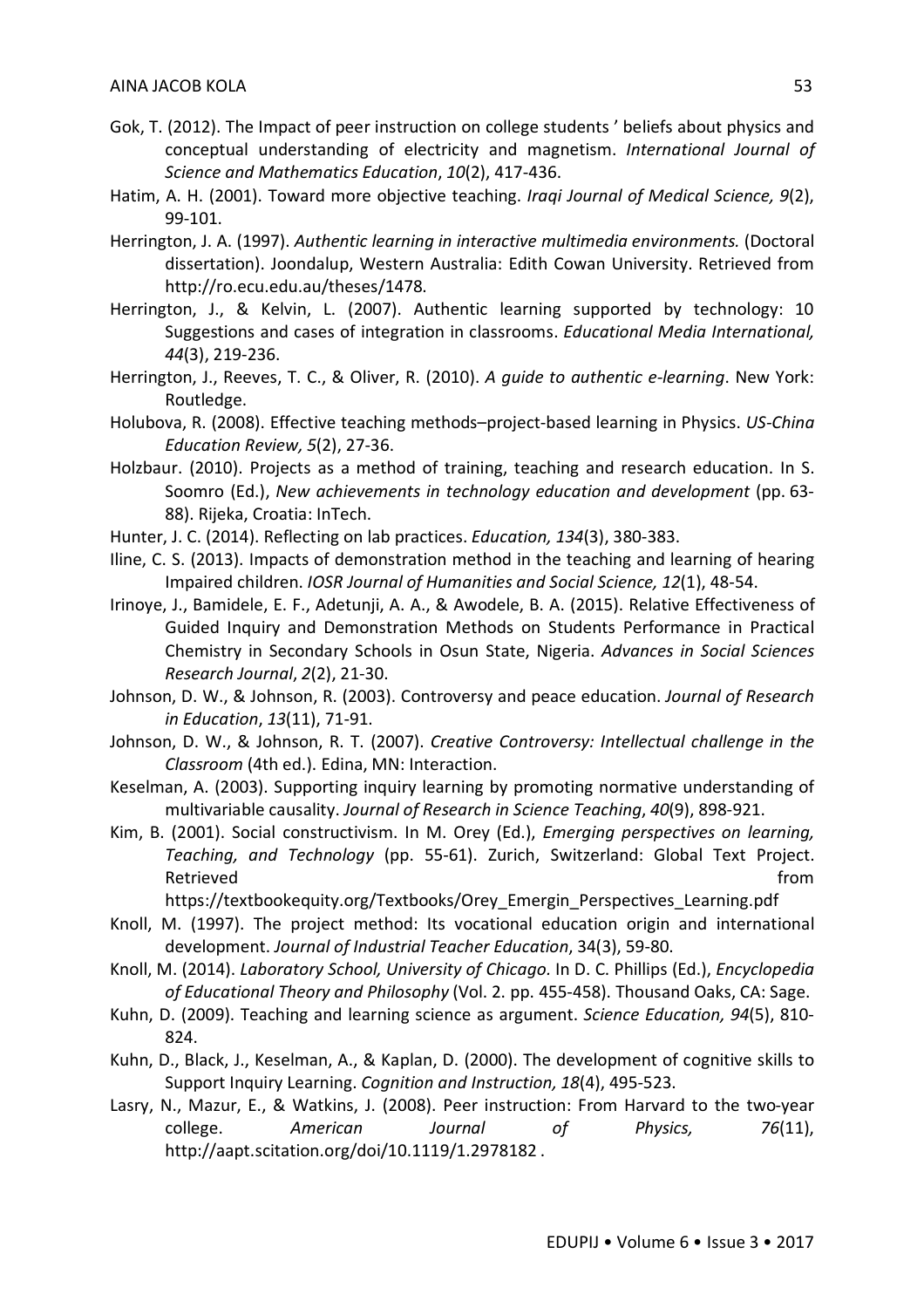- Gok, T. (2012). The Impact of peer instruction on college students ' beliefs about physics and conceptual understanding of electricity and magnetism. *International Journal of Science and Mathematics Education*, *10*(2), 417-436.
- Hatim, A. H. (2001). Toward more objective teaching. *Iraqi Journal of Medical Science, 9*(2), 99-101.
- Herrington, J. A. (1997). *Authentic learning in interactive multimedia environments.* (Doctoral dissertation). Joondalup, Western Australia: Edith Cowan University. Retrieved from http://ro.ecu.edu.au/theses/1478.
- Herrington, J., & Kelvin, L. (2007). Authentic learning supported by technology: 10 Suggestions and cases of integration in classrooms. *Educational Media International, 44*(3), 219-236.
- Herrington, J., Reeves, T. C., & Oliver, R. (2010). *A guide to authentic e-learning*. New York: Routledge.
- Holubova, R. (2008). Effective teaching methods–project-based learning in Physics. *US-China Education Review, 5*(2), 27-36.
- Holzbaur. (2010). Projects as a method of training, teaching and research education. In S. Soomro (Ed.), *New achievements in technology education and development* (pp. 63- 88). Rijeka, Croatia: InTech.
- Hunter, J. C. (2014). Reflecting on lab practices. *Education, 134*(3), 380-383.
- Iline, C. S. (2013). Impacts of demonstration method in the teaching and learning of hearing Impaired children. *IOSR Journal of Humanities and Social Science, 12*(1), 48-54.
- Irinoye, J., Bamidele, E. F., Adetunji, A. A., & Awodele, B. A. (2015). Relative Effectiveness of Guided Inquiry and Demonstration Methods on Students Performance in Practical Chemistry in Secondary Schools in Osun State, Nigeria. *Advances in Social Sciences Research Journal*, *2*(2), 21-30.
- Johnson, D. W., & Johnson, R. (2003). Controversy and peace education. *Journal of Research in Education*, *13*(11), 71-91.
- Johnson, D. W., & Johnson, R. T. (2007). *Creative Controversy: Intellectual challenge in the Classroom* (4th ed.). Edina, MN: Interaction.
- Keselman, A. (2003). Supporting inquiry learning by promoting normative understanding of multivariable causality. *Journal of Research in Science Teaching*, *40*(9), 898-921.
- Kim, B. (2001). Social constructivism. In M. Orey (Ed.), *Emerging perspectives on learning, Teaching, and Technology* (pp. 55-61). Zurich, Switzerland: Global Text Project. Retrieved **from** 
	- https://textbookequity.org/Textbooks/Orey\_Emergin\_Perspectives\_Learning.pdf
- Knoll, M. (1997). The project method: Its vocational education origin and international development. *Journal of Industrial Teacher Education*, 34(3), 59-80.
- Knoll, M. (2014). *Laboratory School, University of Chicago.* In D. C. Phillips (Ed.), *Encyclopedia of Educational Theory and Philosophy* (Vol. 2. pp. 455-458). Thousand Oaks, CA: Sage.
- Kuhn, D. (2009). Teaching and learning science as argument. *Science Education, 94*(5), 810- 824.
- Kuhn, D., Black, J., Keselman, A., & Kaplan, D. (2000). The development of cognitive skills to Support Inquiry Learning. *Cognition and Instruction, 18*(4), 495-523.
- Lasry, N., Mazur, E., & Watkins, J. (2008). Peer instruction: From Harvard to the two-year college. *American Journal of Physics, 76*(11), http://aapt.scitation.org/doi/10.1119/1.2978182 .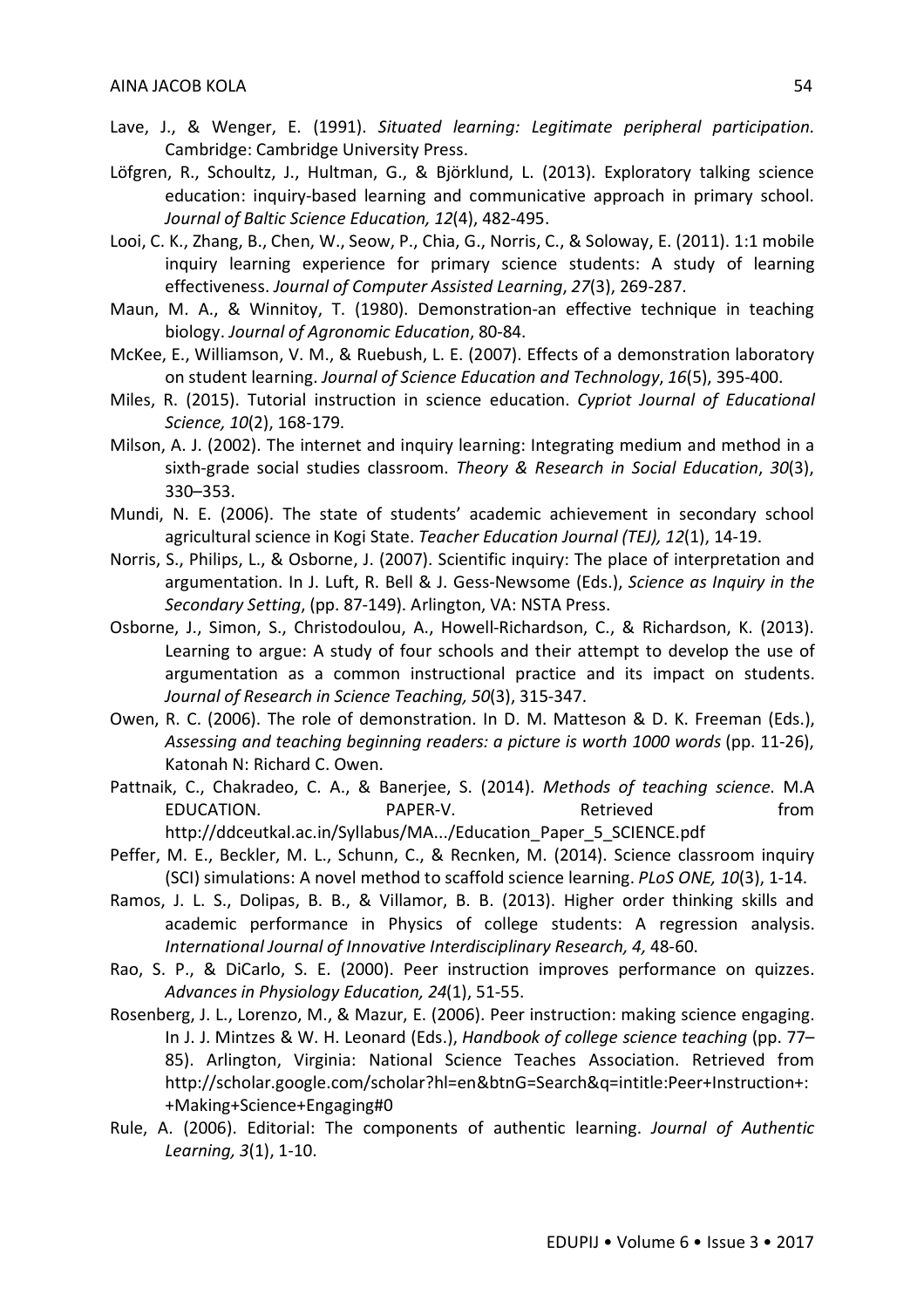- Lave, J., & Wenger, E. (1991). *Situated learning: Legitimate peripheral participation*. Cambridge: Cambridge University Press.
- Löfgren, R., Schoultz, J., Hultman, G., & Björklund, L. (2013). Exploratory talking science education: inquiry-based learning and communicative approach in primary school. *Journal of Baltic Science Education, 12*(4), 482-495.
- Looi, C. K., Zhang, B., Chen, W., Seow, P., Chia, G., Norris, C., & Soloway, E. (2011). 1:1 mobile inquiry learning experience for primary science students: A study of learning effectiveness. *Journal of Computer Assisted Learning*, *27*(3), 269-287.
- Maun, M. A., & Winnitoy, T. (1980). Demonstration-an effective technique in teaching biology. *Journal of Agronomic Education*, 80-84.
- McKee, E., Williamson, V. M., & Ruebush, L. E. (2007). Effects of a demonstration laboratory on student learning. *Journal of Science Education and Technology*, *16*(5), 395-400.
- Miles, R. (2015). Tutorial instruction in science education. *Cypriot Journal of Educational Science, 10*(2), 168-179.
- Milson, A. J. (2002). The internet and inquiry learning: Integrating medium and method in a sixth-grade social studies classroom. *Theory & Research in Social Education*, *30*(3), 330–353.
- Mundi, N. E. (2006). The state of students' academic achievement in secondary school agricultural science in Kogi State. *Teacher Education Journal (TEJ), 12*(1), 14-19.
- Norris, S., Philips, L., & Osborne, J. (2007). Scientific inquiry: The place of interpretation and argumentation. In J. Luft, R. Bell & J. Gess-Newsome (Eds.), *Science as Inquiry in the Secondary Setting*, (pp. 87-149). Arlington, VA: NSTA Press.
- Osborne, J., Simon, S., Christodoulou, A., Howell-Richardson, C., & Richardson, K. (2013). Learning to argue: A study of four schools and their attempt to develop the use of argumentation as a common instructional practice and its impact on students. *Journal of Research in Science Teaching, 50*(3), 315-347.
- Owen, R. C. (2006). The role of demonstration. In D. M. Matteson & D. K. Freeman (Eds.), *Assessing and teaching beginning readers: a picture is worth 1000 words* (pp. 11-26), Katonah N: Richard C. Owen.
- Pattnaik, C., Chakradeo, C. A., & Banerjee, S. (2014). *Methods of teaching science*. M.A EDUCATION. PAPER-V. Retrieved from http://ddceutkal.ac.in/Syllabus/MA.../Education\_Paper\_5\_SCIENCE.pdf
- Peffer, M. E., Beckler, M. L., Schunn, C., & Recnken, M. (2014). Science classroom inquiry (SCI) simulations: A novel method to scaffold science learning. *PLoS ONE, 10*(3), 1-14.
- Ramos, J. L. S., Dolipas, B. B., & Villamor, B. B. (2013). Higher order thinking skills and academic performance in Physics of college students: A regression analysis. *International Journal of Innovative Interdisciplinary Research, 4,* 48-60.
- Rao, S. P., & DiCarlo, S. E. (2000). Peer instruction improves performance on quizzes. *Advances in Physiology Education, 24*(1), 51-55.
- Rosenberg, J. L., Lorenzo, M., & Mazur, E. (2006). Peer instruction: making science engaging. In J. J. Mintzes & W. H. Leonard (Eds.), *Handbook of college science teaching* (pp. 77– 85). Arlington, Virginia: National Science Teaches Association. Retrieved from http://scholar.google.com/scholar?hl=en&btnG=Search&q=intitle:Peer+Instruction+: +Making+Science+Engaging#0
- Rule, A. (2006). Editorial: The components of authentic learning. *Journal of Authentic Learning, 3*(1), 1-10.